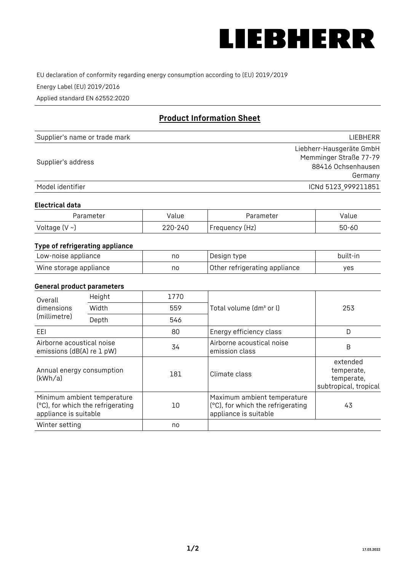

EU declaration of conformity regarding energy consumption according to (EU) 2019/2019

Energy Label (EU) 2019/2016

Applied standard EN 62552:2020

# **Product Information Sheet**

| Supplier's name or trade mark | LIEBHERR                 |
|-------------------------------|--------------------------|
|                               | Liebherr-Hausgeräte GmbH |
| Supplier's address            | Memminger Straße 77-79   |
|                               | 88416 Ochsenhausen       |
|                               | Germany                  |
| Model identifier              | ICNd 5123 999211851      |

#### **Electrical data**

| Parameter     | Value         | Parameter      | alue ' |
|---------------|---------------|----------------|--------|
| Voltage (V ~) | 220-:<br>-24C | Frequency (Hz) | 50-60  |

## **Type of refrigerating appliance**

| Low-noise appliance    | no | Design type                   | built-in |
|------------------------|----|-------------------------------|----------|
| Wine storage appliance | no | Other refrigerating appliance | yes      |

### **General product parameters**

| Height<br>Overall                                      |                                                                  | 1770 |                                                                                           |                                                               |
|--------------------------------------------------------|------------------------------------------------------------------|------|-------------------------------------------------------------------------------------------|---------------------------------------------------------------|
| dimensions<br>(millimetre)                             | Width                                                            | 559  | Total volume (dm <sup>3</sup> or l)                                                       | 253                                                           |
|                                                        | Depth                                                            | 546  |                                                                                           |                                                               |
| EEL                                                    |                                                                  | 80   | Energy efficiency class                                                                   | D                                                             |
| Airborne acoustical noise<br>emissions (dB(A) re 1 pW) |                                                                  | 34   | Airborne acoustical noise<br>emission class                                               | B                                                             |
| Annual energy consumption<br>(kWh/a)                   |                                                                  | 181  | Climate class                                                                             | extended<br>temperate,<br>temperate,<br>subtropical, tropical |
| appliance is suitable                                  | Minimum ambient temperature<br>(°C), for which the refrigerating | 10   | Maximum ambient temperature<br>(°C), for which the refrigerating<br>appliance is suitable | 43                                                            |
| Winter setting                                         |                                                                  | no   |                                                                                           |                                                               |